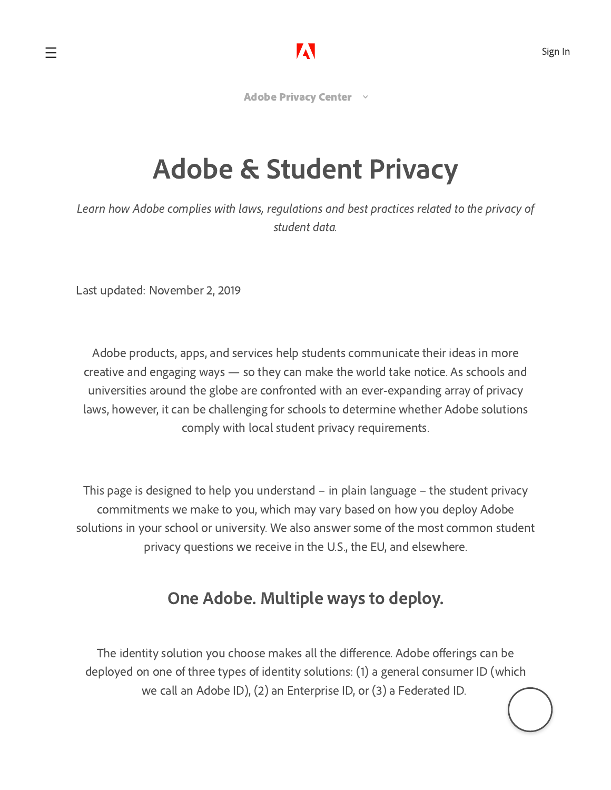[Adobe Privacy Center](https://www.adobe.com/privacy.html)  $\|\cdot\|$ 

# Adobe & Student Privacy

Learn how Adobe complies with laws, regulations and best practices related to the privacy of student data.

Last updated: November 2, 2019

Adobe products, apps, and services help students communicate their ideas in more creative and engaging ways — so they can make the world take notice. As schools and universities around the globe are confronted with an ever-expanding array of privacy laws, however, it can be challenging for schools to determine whether Adobe solutions comply with local student privacy requirements.

This page is designed to help you understand – in plain language – the student privacy commitments we make to you, which may vary based on how you deploy Adobe solutions in your school or university. We also answer some of the most common student privacy questions we receive in the U.S., the EU, and elsewhere.

# One Adobe. Multiple ways to deploy.

The identity solution you choose makes all the difference. Adobe offerings can be deployed on one of three types of identity solutions: (1) a general consumer ID (which we call an Adobe ID), (2) an Enterprise ID, or (3) a Federated ID.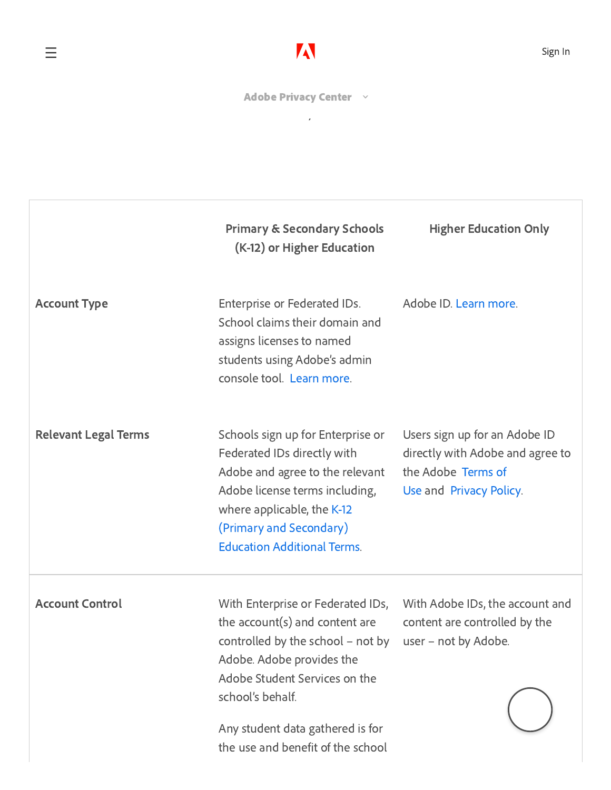[Adobe Privacy Center](https://www.adobe.com/privacy.html) volume as a Primary or a Primary or a Primary or a Primary or a Primary or a Primary or a

|                             | <b>Primary &amp; Secondary Schools</b><br>(K-12) or Higher Education                                                                                                                                                                                      | <b>Higher Education Only</b>                                                                                       |
|-----------------------------|-----------------------------------------------------------------------------------------------------------------------------------------------------------------------------------------------------------------------------------------------------------|--------------------------------------------------------------------------------------------------------------------|
| <b>Account Type</b>         | Enterprise or Federated IDs.<br>School claims their domain and<br>assigns licenses to named<br>students using Adobe's admin<br>console tool. Learn more.                                                                                                  | Adobe ID. Learn more.                                                                                              |
| <b>Relevant Legal Terms</b> | Schools sign up for Enterprise or<br>Federated IDs directly with<br>Adobe and agree to the relevant<br>Adobe license terms including,<br>where applicable, the K-12<br>(Primary and Secondary)<br><b>Education Additional Terms.</b>                      | Users sign up for an Adobe ID<br>directly with Adobe and agree to<br>the Adobe Terms of<br>Use and Privacy Policy. |
| <b>Account Control</b>      | With Enterprise or Federated IDs,<br>the $account(s)$ and content are<br>controlled by the school $-$ not by user $-$ not by Adobe.<br>Adobe. Adobe provides the<br>Adobe Student Services on the<br>school's behalf.<br>Any student data gathered is for | With Adobe IDs, the account and<br>content are controlled by the                                                   |
|                             | the use and benefit of the school                                                                                                                                                                                                                         |                                                                                                                    |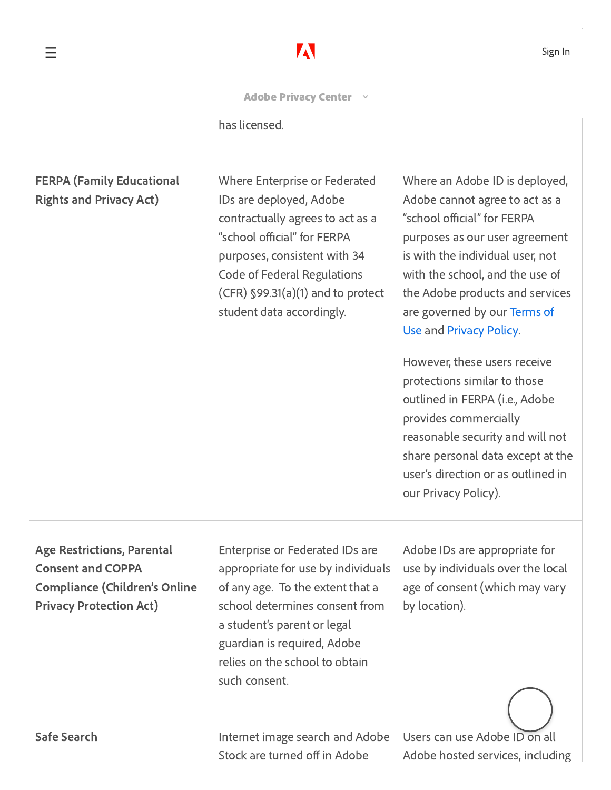# [Adobe Privacy Center](https://www.adobe.com/privacy.html)  $\rightarrow$

 $\checkmark$ 

has licensed.

#### FERPA (Family Educational Rights and Privacy Act)

Where Enterprise or Federated IDs are deployed, Adobe contractually agrees to act as a "school official" for FERPA purposes, consistent with 34 Code of Federal Regulations (CFR) §99.31(a)(1) and to protect student data accordingly.

Where an Adobe ID is deployed, Adobe cannot agree to act as a "school official" for FERPA purposes as our user agreement is with the individual user, not with the school, and the use of the Adobe products and services [are governed](https://www.adobe.com/legal/terms.html) by our Terms of Use and [Privacy](https://www.adobe.com/privacy/policy.html) Policy.

However, these users receive protections similar to those outlined in FERPA (i.e., Adobe provides commercially reasonable security and will not share personal data except at the user's direction or as outlined in our Privacy Policy).

## Age Restrictions, Parental Consent and COPPA Compliance (Children's Online Privacy Protection Act)

Enterprise or Federated IDs are appropriate for use by individuals of any age. To the extent that a school determines consent from a student's parent or legal guardian is required, Adobe relies on the school to obtain such consent.

Adobe IDs are appropriate for use by individuals over the local age of consent (which may vary by location).

Safe Search **Internet image search and Adobe** Stock are turned off in Adobe

Users can use Adobe ID on all Adobe hosted services, including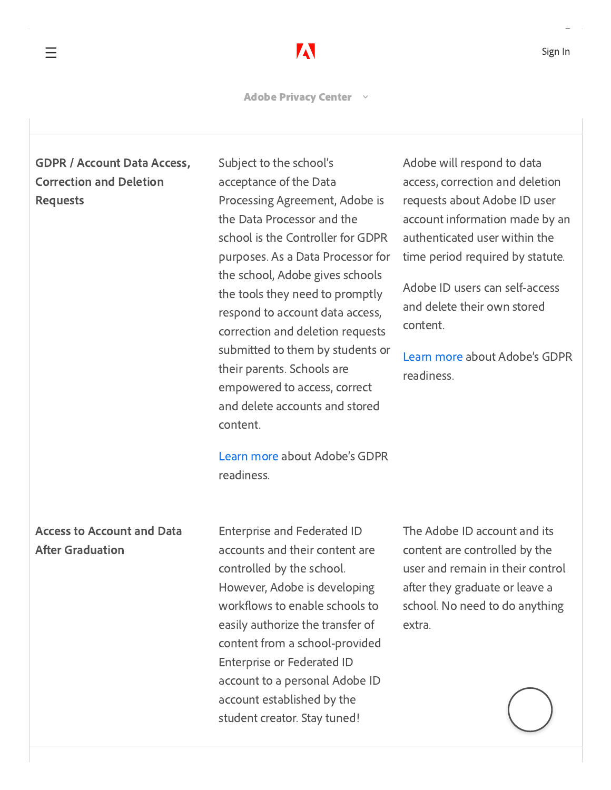[Adobe Privacy Center](https://www.adobe.com/privacy.html)

 $\checkmark$ 

### GDPR / Account Data Access, Correction and Deletion Requests

Subject to the school's acceptance of the Data Processing Agreement, Adobe is the Data Processor and the school is the Controller for GDPR purposes. As a Data Processor for the school, Adobe gives schools the tools they need to promptly respond to account data access, correction and deletion requests submitted to them by students or their parents. Schools are empowered to access, correct and delete accounts and stored content.

[Learn](https://www.adobe.com/privacy/general-data-protection-regulation.html) more about Adobe's GDPR readiness.

#### Access to Account and Data **After Graduation**

Enterprise and Federated ID accounts and their content are controlled by the school. However, Adobe is developing workflows to enable schools to easily authorize the transfer of content from a school-provided Enterprise or Federated ID account to a personal Adobe ID account established by the student creator. Stay tuned!

The Adobe ID account and its content are controlled by the user and remain in their control after they graduate or leave a school. No need to do anything extra.

Adobe will respond to data access, correction and deletion requests about Adobe ID user account information made by an authenticated user within the time period required by statute.

Adobe ID users can self-access and delete their own stored content.

[Learn](https://www.adobe.com/privacy/general-data-protection-regulation.html) more about Adobe's GDPR readiness.

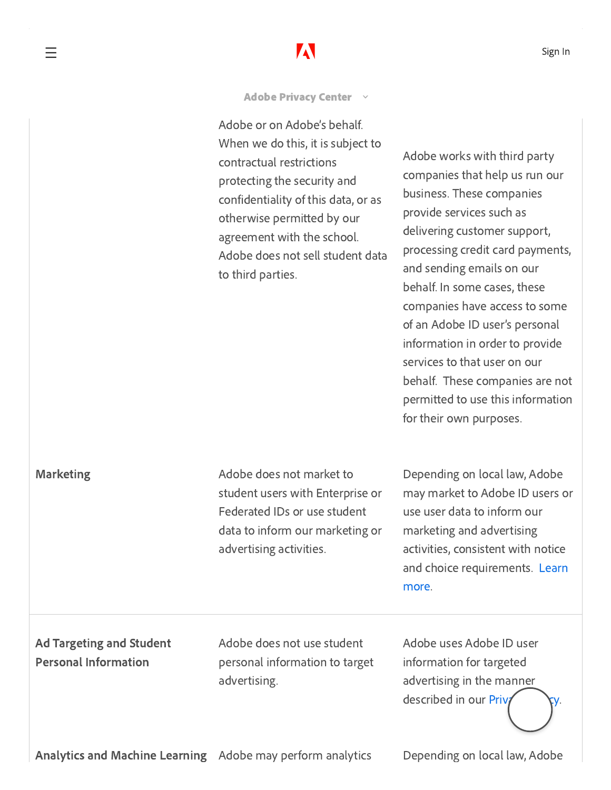[Adobe Privacy Center](https://www.adobe.com/privacy.html) ×

Adobe or on Adobe's behalf. When we do this, it is subject to contractual restrictionsprotecting the security and confidentiality of this data, or as otherwise permitted by our agreement with the school. Adobe does not sell student data to third parties.

Adobe works with third party companies that help us run our business. These companies provide services such as delivering customer support, processing credit card payments, and sending emails on our behalf. In some cases, these companies have access to some of an Adobe ID user's personal information in order to provide services to that user on our behalf. These companies are not permitted to use this information for their own purposes.

Marketing Marketing Market to Adobe does not market to student users with Enterprise or Federated IDs or use student data to inform our marketing or advertising activities.

Depending on local law, Adobe may market to Adobe ID users or use user data to inform our marketing and advertising activities, consistent with notice and [choice requirements.](https://www.adobe.com/privacy/opt-out.html) Learn more.

Ad Targeting and Student Personal Information

Adobe does not use student personal information to target advertising.

Adobe uses Adobe ID user information for targeted advertising in the manner  $described in our  $\overline{P}$$ 

Analytics and Machine Learning Adobe may perform analytics Depending on local law, Adobe